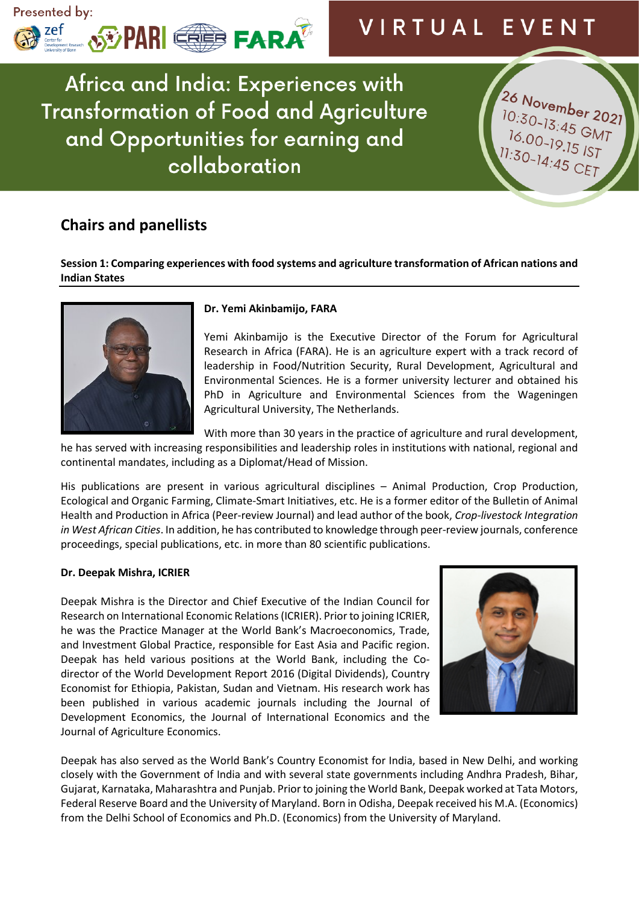

26 November 2021

 $10:30-13:45$  GMT<br> $16.00-19$  15.10  $16.00 - 13.45$  GMT<br> $1.30 - 19.15$  IST<br> $1.30 - 14.45$  CF-

11:30-14:45 CET

Africa and India: Experiences with **Transformation of Food and Agriculture** and Opportunities for earning and collaboration

# **Chairs and panellists**

**Session 1: Comparing experiences with food systems and agriculture transformation of African nations and Indian States**



## **Dr. Yemi Akinbamijo, FARA**

Yemi Akinbamijo is the Executive Director of the Forum for Agricultural Research in Africa (FARA). He is an agriculture expert with a track record of leadership in Food/Nutrition Security, Rural Development, Agricultural and Environmental Sciences. He is a former university lecturer and obtained his PhD in Agriculture and Environmental Sciences from the Wageningen Agricultural University, The Netherlands.

With more than 30 years in the practice of agriculture and rural development,

he has served with increasing responsibilities and leadership roles in institutions with national, regional and continental mandates, including as a Diplomat/Head of Mission.

His publications are present in various agricultural disciplines – Animal Production, Crop Production, Ecological and Organic Farming, Climate-Smart Initiatives, etc. He is a former editor of the Bulletin of Animal Health and Production in Africa (Peer-review Journal) and lead author of the book, *Crop-livestock Integration in West African Cities*. In addition, he has contributed to knowledge through peer-review journals, conference proceedings, special publications, etc. in more than 80 scientific publications.

## **Dr. Deepak Mishra, ICRIER**

Deepak Mishra is the Director and Chief Executive of the Indian Council for Research on International Economic Relations (ICRIER). Prior to joining ICRIER, he was the Practice Manager at the World Bank's Macroeconomics, Trade, and Investment Global Practice, responsible for East Asia and Pacific region. Deepak has held various positions at the World Bank, including the Codirector of the World Development Report 2016 (Digital Dividends), Country Economist for Ethiopia, Pakistan, Sudan and Vietnam. His research work has been published in various academic journals including the Journal of Development Economics, the Journal of International Economics and the Journal of Agriculture Economics.



Deepak has also served as the World Bank's Country Economist for India, based in New Delhi, and working closely with the Government of India and with several state governments including Andhra Pradesh, Bihar, Gujarat, Karnataka, Maharashtra and Punjab. Prior to joining the World Bank, Deepak worked at Tata Motors, Federal Reserve Board and the University of Maryland. Born in Odisha, Deepak received his M.A. (Economics) from the Delhi School of Economics and Ph.D. (Economics) from the University of Maryland.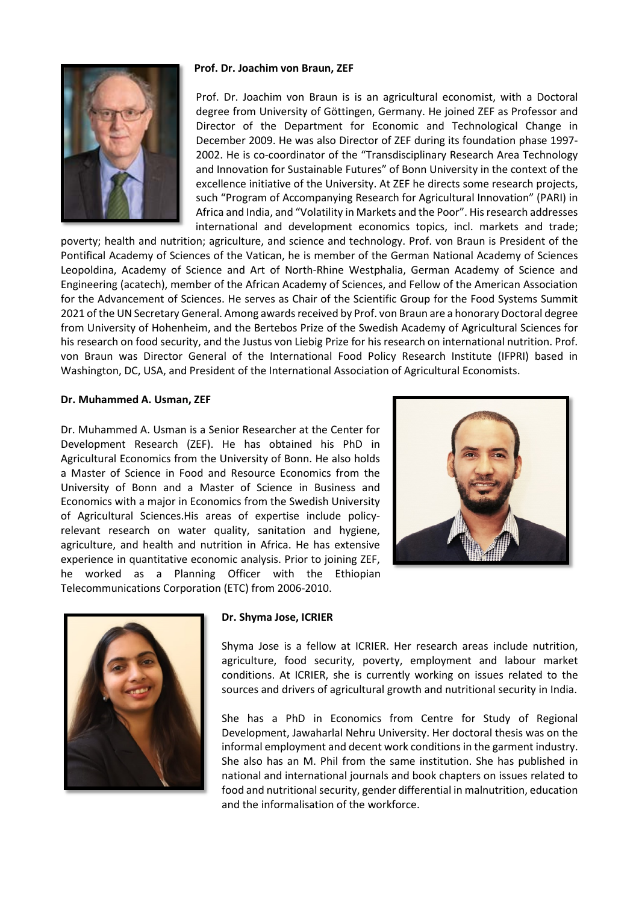## **Prof. Dr. Joachim von Braun, ZEF**



Prof. Dr. Joachim von Braun is is an agricultural economist, with a Doctoral degree from University of Göttingen, Germany. He joined ZEF as Professor and Director of the Department for Economic and Technological Change in December 2009. He was also Director of ZEF during its foundation phase 1997- 2002. He is co-coordinator of the "Transdisciplinary Research Area Technology and Innovation for Sustainable Futures" of Bonn University in the context of the excellence initiative of the University. At ZEF he directs some research projects, such "Program of Accompanying Research for Agricultural Innovation" (PARI) in Africa and India, and "Volatility in Markets and the Poor". His research addresses international and development economics topics, incl. markets and trade;

poverty; health and nutrition; agriculture, and science and technology. Prof. von Braun is President of the Pontifical Academy of Sciences of the Vatican, he is member of the German National Academy of Sciences Leopoldina, Academy of Science and Art of North-Rhine Westphalia, German Academy of Science and Engineering (acatech), member of the African Academy of Sciences, and Fellow of the American Association for the Advancement of Sciences. He serves as Chair of the Scientific Group for the Food Systems Summit 2021 of the UN Secretary General. Among awards received by Prof. von Braun are a honorary Doctoral degree from University of Hohenheim, and the Bertebos Prize of the Swedish Academy of Agricultural Sciences for his research on food security, and the Justus von Liebig Prize for his research on international nutrition. Prof. von Braun was Director General of the International Food Policy Research Institute (IFPRI) based in Washington, DC, USA, and President of the International Association of Agricultural Economists.

### **Dr. Muhammed A. Usman, ZEF**

Dr. Muhammed A. Usman is a Senior Researcher at the Center for Development Research (ZEF). He has obtained his PhD in Agricultural Economics from the University of Bonn. He also holds a Master of Science in Food and Resource Economics from the University of Bonn and a Master of Science in Business and Economics with a major in Economics from the Swedish University of Agricultural Sciences.His areas of expertise include policyrelevant research on water quality, sanitation and hygiene, agriculture, and health and nutrition in Africa. He has extensive experience in quantitative economic analysis. Prior to joining ZEF, he worked as a Planning Officer with the Ethiopian Telecommunications Corporation (ETC) from 2006-2010.





#### **Dr. Shyma Jose, ICRIER**

Shyma Jose is a fellow at ICRIER. Her research areas include nutrition, agriculture, food security, poverty, employment and labour market conditions. At ICRIER, she is currently working on issues related to the sources and drivers of agricultural growth and nutritional security in India.

She has a PhD in Economics from Centre for Study of Regional Development, Jawaharlal Nehru University. Her doctoral thesis was on the informal employment and decent work conditions in the garment industry. She also has an M. Phil from the same institution. She has published in national and international journals and book chapters on issues related to food and nutritional security, gender differential in malnutrition, education and the informalisation of the workforce.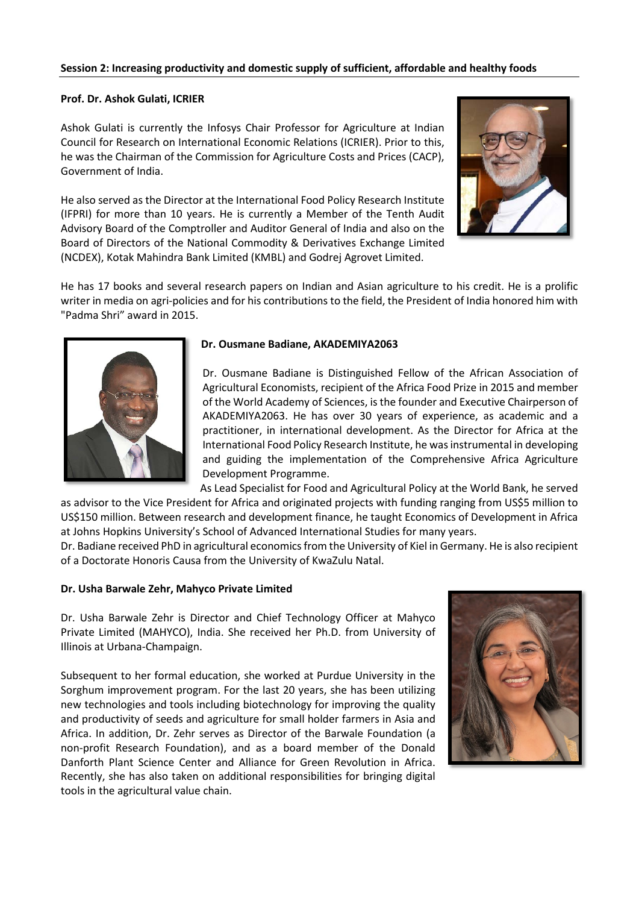## **Prof. Dr. Ashok Gulati, ICRIER**

Ashok Gulati is currently the Infosys Chair Professor for Agriculture at Indian Council for Research on International Economic Relations (ICRIER). Prior to this, he was the Chairman of the Commission for Agriculture Costs and Prices (CACP), Government of India.

He also served as the Director at the International Food Policy Research Institute (IFPRI) for more than 10 years. He is currently a Member of the Tenth Audit Advisory Board of the Comptroller and Auditor General of India and also on the Board of Directors of the National Commodity & Derivatives Exchange Limited (NCDEX), Kotak Mahindra Bank Limited (KMBL) and Godrej Agrovet Limited.



He has 17 books and several research papers on Indian and Asian agriculture to his credit. He is a prolific writer in media on agri-policies and for his contributions to the field, the President of India honored him with "Padma Shri" award in 2015.



### **Dr. Ousmane Badiane, AKADEMIYA2063**

Dr. Ousmane Badiane is Distinguished Fellow of the African Association of Agricultural Economists, recipient of the Africa Food Prize in 2015 and member of the World Academy of Sciences, is the founder and Executive Chairperson of AKADEMIYA2063. He has over 30 years of experience, as academic and a practitioner, in international development. As the Director for Africa at the International Food Policy Research Institute, he was instrumental in developing and guiding the implementation of the Comprehensive Africa Agriculture Development Programme.

As Lead Specialist for Food and Agricultural Policy at the World Bank, he served as advisor to the Vice President for Africa and originated projects with funding ranging from US\$5 million to US\$150 million. Between research and development finance, he taught Economics of Development in Africa at Johns Hopkins University's School of Advanced International Studies for many years.

Dr. Badiane received PhD in agricultural economics from the University of Kiel in Germany. He is also recipient of a Doctorate Honoris Causa from the University of KwaZulu Natal.

## **Dr. Usha Barwale Zehr, Mahyco Private Limited**

Dr. Usha Barwale Zehr is Director and Chief Technology Officer at Mahyco Private Limited (MAHYCO), India. She received her Ph.D. from University of Illinois at Urbana-Champaign.

Subsequent to her formal education, she worked at Purdue University in the Sorghum improvement program. For the last 20 years, she has been utilizing new technologies and tools including biotechnology for improving the quality and productivity of seeds and agriculture for small holder farmers in Asia and Africa. In addition, Dr. Zehr serves as Director of the Barwale Foundation (a non-profit Research Foundation), and as a board member of the Donald Danforth Plant Science Center and Alliance for Green Revolution in Africa. Recently, she has also taken on additional responsibilities for bringing digital tools in the agricultural value chain.

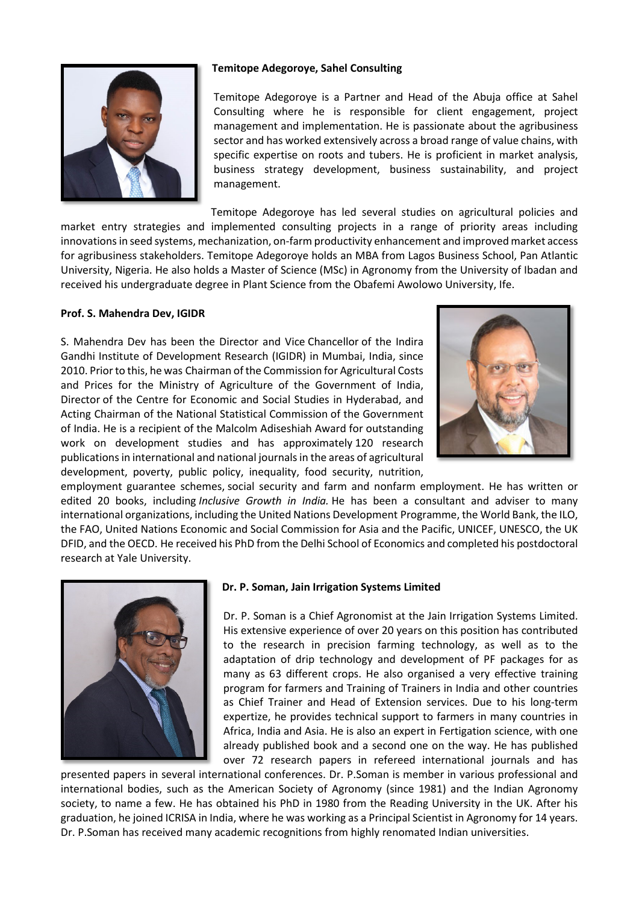

## **Temitope Adegoroye, Sahel Consulting**

Temitope Adegoroye is a Partner and Head of the Abuja office at Sahel Consulting where he is responsible for client engagement, project management and implementation. He is passionate about the agribusiness sector and has worked extensively across a broad range of value chains, with specific expertise on roots and tubers. He is proficient in market analysis, business strategy development, business sustainability, and project management.

Temitope Adegoroye has led several studies on agricultural policies and market entry strategies and implemented consulting projects in a range of priority areas including innovations in seed systems, mechanization, on-farm productivity enhancement and improved market access for agribusiness stakeholders. Temitope Adegoroye holds an MBA from Lagos Business School, Pan Atlantic University, Nigeria. He also holds a Master of Science (MSc) in Agronomy from the University of Ibadan and received his undergraduate degree in Plant Science from the Obafemi Awolowo University, Ife.

# **Prof. S. Mahendra Dev, IGIDR**

S. Mahendra Dev has been the Director and Vice Chancellor of the Indira Gandhi Institute of Development Research (IGIDR) in Mumbai, India, since 2010. Prior to this, he was Chairman of the Commission for Agricultural Costs and Prices for the Ministry of Agriculture of the Government of India, Director of the Centre for Economic and Social Studies in Hyderabad, and Acting Chairman of the National Statistical Commission of the Government of India. He is a recipient of the Malcolm Adiseshiah Award for outstanding work on development studies and has approximately 120 research publications in international and national journals in the areas of agricultural development, poverty, public policy, inequality, food security, nutrition,



employment guarantee schemes, social security and farm and nonfarm employment. He has written or edited 20 books, including *Inclusive Growth in India.* He has been a consultant and adviser to many international organizations, including the United Nations Development Programme, the World Bank, the ILO, the FAO, United Nations Economic and Social Commission for Asia and the Pacific, UNICEF, UNESCO, the UK DFID, and the OECD. He received his PhD from the Delhi School of Economics and completed his postdoctoral research at Yale University.



# **Dr. P. Soman, Jain Irrigation Systems Limited**

Dr. P. Soman is a Chief Agronomist at the Jain Irrigation Systems Limited. His extensive experience of over 20 years on this position has contributed to the research in precision farming technology, as well as to the adaptation of drip technology and development of PF packages for as many as 63 different crops. He also organised a very effective training program for farmers and Training of Trainers in India and other countries as Chief Trainer and Head of Extension services. Due to his long-term expertize, he provides technical support to farmers in many countries in Africa, India and Asia. He is also an expert in Fertigation science, with one already published book and a second one on the way. He has published over 72 research papers in refereed international journals and has

presented papers in several international conferences. Dr. P.Soman is member in various professional and international bodies, such as the American Society of Agronomy (since 1981) and the Indian Agronomy society, to name a few. He has obtained his PhD in 1980 from the Reading University in the UK. After his graduation, he joined ICRISA in India, where he was working as a Principal Scientist in Agronomy for 14 years. Dr. P.Soman has received many academic recognitions from highly renomated Indian universities.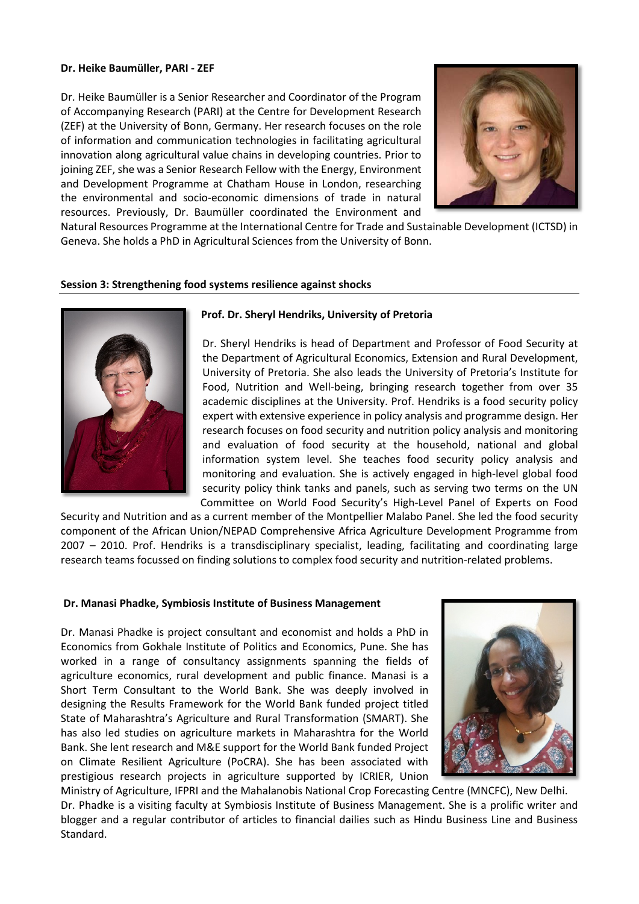#### **Dr. Heike Baumüller, PARI - ZEF**

Dr. Heike Baumüller is a Senior Researcher and Coordinator of the Program of Accompanying Research (PARI) at the Centre for Development Research (ZEF) at the University of Bonn, Germany. Her research focuses on the role of information and communication technologies in facilitating agricultural innovation along agricultural value chains in developing countries. Prior to joining ZEF, she was a Senior Research Fellow with the Energy, Environment and Development Programme at Chatham House in London, researching the environmental and socio-economic dimensions of trade in natural resources. Previously, Dr. Baumüller coordinated the Environment and



Natural Resources Programme at the International Centre for Trade and Sustainable Development (ICTSD) in Geneva. She holds a PhD in Agricultural Sciences from the University of Bonn.

### **Session 3: Strengthening food systems resilience against shocks**



### **Prof. Dr. Sheryl Hendriks, University of Pretoria**

Dr. Sheryl Hendriks is head of Department and Professor of Food Security at the Department of Agricultural Economics, Extension and Rural Development, University of Pretoria. She also leads the University of Pretoria's Institute for Food, Nutrition and Well-being, bringing research together from over 35 academic disciplines at the University. Prof. Hendriks is a food security policy expert with extensive experience in policy analysis and programme design. Her research focuses on food security and nutrition policy analysis and monitoring and evaluation of food security at the household, national and global information system level. She teaches food security policy analysis and monitoring and evaluation. She is actively engaged in high-level global food security policy think tanks and panels, such as serving two terms on the UN Committee on World Food Security's High-Level Panel of Experts on Food

Security and Nutrition and as a current member of the Montpellier Malabo Panel. She led the food security component of the African Union/NEPAD Comprehensive Africa Agriculture Development Programme from 2007 – 2010. Prof. Hendriks is a transdisciplinary specialist, leading, facilitating and coordinating large research teams focussed on finding solutions to complex food security and nutrition-related problems.

#### **Dr. Manasi Phadke, Symbiosis Institute of Business Management**

Dr. Manasi Phadke is project consultant and economist and holds a PhD in Economics from Gokhale Institute of Politics and Economics, Pune. She has worked in a range of consultancy assignments spanning the fields of agriculture economics, rural development and public finance. Manasi is a Short Term Consultant to the World Bank. She was deeply involved in designing the Results Framework for the World Bank funded project titled State of Maharashtra's Agriculture and Rural Transformation (SMART). She has also led studies on agriculture markets in Maharashtra for the World Bank. She lent research and M&E support for the World Bank funded Project on Climate Resilient Agriculture (PoCRA). She has been associated with prestigious research projects in agriculture supported by ICRIER, Union



Ministry of Agriculture, IFPRI and the Mahalanobis National Crop Forecasting Centre (MNCFC), New Delhi. Dr. Phadke is a visiting faculty at Symbiosis Institute of Business Management. She is a prolific writer and blogger and a regular contributor of articles to financial dailies such as Hindu Business Line and Business Standard.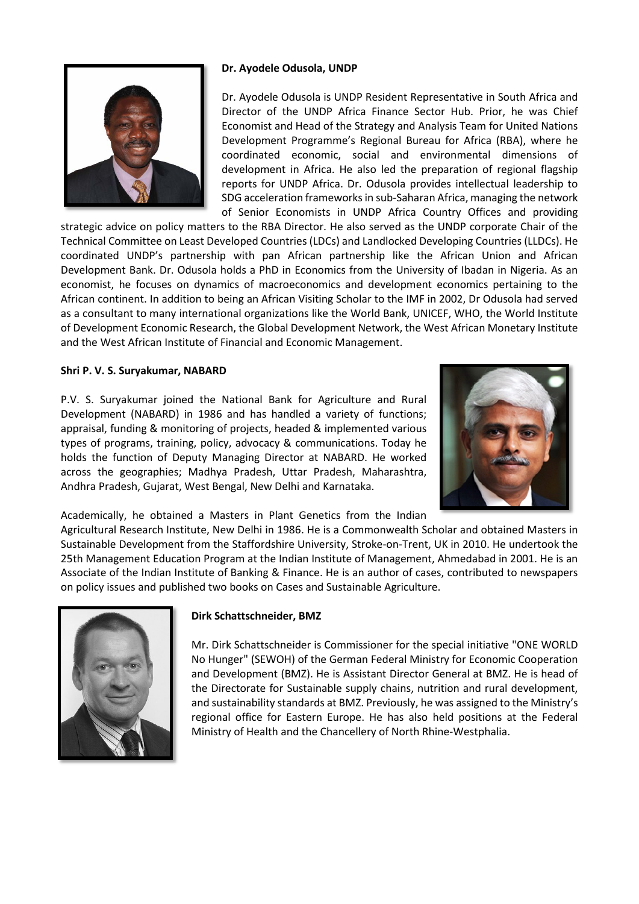

## **Dr. Ayodele Odusola, UNDP**

Dr. Ayodele Odusola is UNDP Resident Representative in South Africa and Director of the UNDP Africa Finance Sector Hub. Prior, he was Chief Economist and Head of the Strategy and Analysis Team for United Nations Development Programme's Regional Bureau for Africa (RBA), where he coordinated economic, social and environmental dimensions of development in Africa. He also led the preparation of regional flagship reports for UNDP Africa. Dr. Odusola provides intellectual leadership to SDG acceleration frameworks in sub-Saharan Africa, managing the network of Senior Economists in UNDP Africa Country Offices and providing

strategic advice on policy matters to the RBA Director. He also served as the UNDP corporate Chair of the Technical Committee on Least Developed Countries (LDCs) and Landlocked Developing Countries (LLDCs). He coordinated UNDP's partnership with pan African partnership like the African Union and African Development Bank. Dr. Odusola holds a PhD in Economics from the University of Ibadan in Nigeria. As an economist, he focuses on dynamics of macroeconomics and development economics pertaining to the African continent. In addition to being an African Visiting Scholar to the IMF in 2002, Dr Odusola had served as a consultant to many international organizations like the World Bank, UNICEF, WHO, the World Institute of Development Economic Research, the Global Development Network, the West African Monetary Institute and the West African Institute of Financial and Economic Management.

## **Shri P. V. S. Suryakumar, NABARD**

P.V. S. Suryakumar joined the National Bank for Agriculture and Rural Development (NABARD) in 1986 and has handled a variety of functions; appraisal, funding & monitoring of projects, headed & implemented various types of programs, training, policy, advocacy & communications. Today he holds the function of Deputy Managing Director at NABARD. He worked across the geographies; Madhya Pradesh, Uttar Pradesh, Maharashtra, Andhra Pradesh, Gujarat, West Bengal, New Delhi and Karnataka.



Academically, he obtained a Masters in Plant Genetics from the Indian

Agricultural Research Institute, New Delhi in 1986. He is a Commonwealth Scholar and obtained Masters in Sustainable Development from the Staffordshire University, Stroke-on-Trent, UK in 2010. He undertook the 25th Management Education Program at the Indian Institute of Management, Ahmedabad in 2001. He is an Associate of the Indian Institute of Banking & Finance. He is an author of cases, contributed to newspapers on policy issues and published two books on Cases and Sustainable Agriculture.



# **Dirk Schattschneider, BMZ**

Mr. Dirk Schattschneider is Commissioner for the special initiative "ONE WORLD No Hunger" (SEWOH) of the German Federal Ministry for Economic Cooperation and Development (BMZ). He is Assistant Director General at BMZ. He is head of the Directorate for Sustainable supply chains, nutrition and rural development, and sustainability standards at BMZ. Previously, he was assigned to the Ministry's regional office for Eastern Europe. He has also held positions at the Federal Ministry of Health and the Chancellery of North Rhine-Westphalia.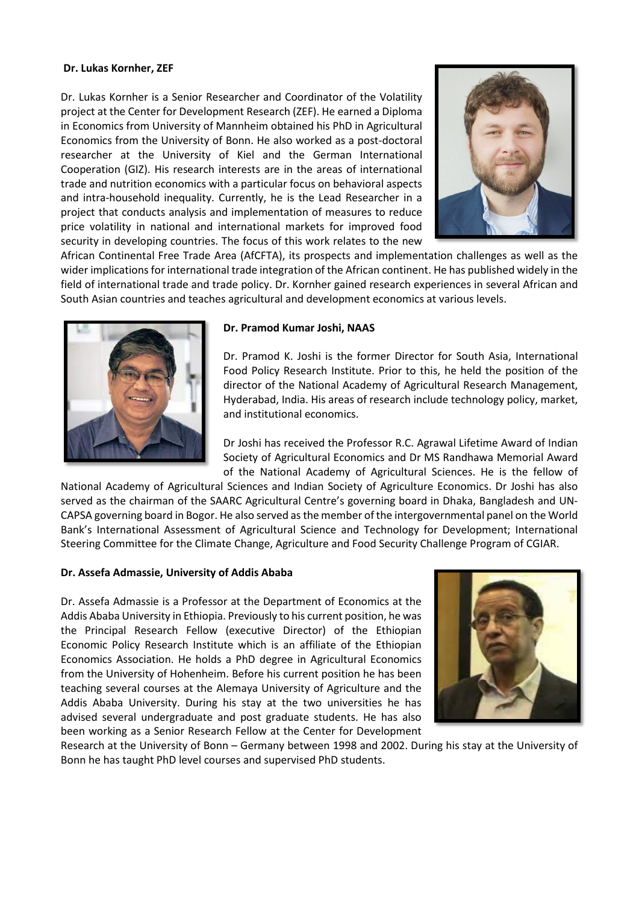## **Dr. Lukas Kornher, ZEF**

Dr. Lukas Kornher is a Senior Researcher and Coordinator of the Volatility project at the Center for Development Research (ZEF). He earned a Diploma in Economics from University of Mannheim obtained his PhD in Agricultural Economics from the University of Bonn. He also worked as a post-doctoral researcher at the University of Kiel and the German International Cooperation (GIZ). His research interests are in the areas of international trade and nutrition economics with a particular focus on behavioral aspects and intra-household inequality. Currently, he is the Lead Researcher in a project that conducts analysis and implementation of measures to reduce price volatility in national and international markets for improved food security in developing countries. The focus of this work relates to the new



African Continental Free Trade Area (AfCFTA), its prospects and implementation challenges as well as the wider implications for international trade integration of the African continent. He has published widely in the field of international trade and trade policy. Dr. Kornher gained research experiences in several African and South Asian countries and teaches agricultural and development economics at various levels.



#### **Dr. Pramod Kumar Joshi, NAAS**

Dr. Pramod K. Joshi is the former Director for South Asia, International Food Policy Research Institute. Prior to this, he held the position of the director of the National Academy of Agricultural Research Management, Hyderabad, India. His areas of research include technology policy, market, and institutional economics.

Dr Joshi has received the Professor R.C. Agrawal Lifetime Award of Indian Society of Agricultural Economics and Dr MS Randhawa Memorial Award of the National Academy of Agricultural Sciences. He is the fellow of

National Academy of Agricultural Sciences and Indian Society of Agriculture Economics. Dr Joshi has also served as the chairman of the SAARC Agricultural Centre's governing board in Dhaka, Bangladesh and UN-CAPSA governing board in Bogor. He also served as the member of the intergovernmental panel on the World Bank's International Assessment of Agricultural Science and Technology for Development; International Steering Committee for the Climate Change, Agriculture and Food Security Challenge Program of CGIAR.

#### **Dr. Assefa Admassie, University of Addis Ababa**

Dr. Assefa Admassie is a Professor at the Department of Economics at the Addis Ababa University in Ethiopia. Previously to his current position, he was the Principal Research Fellow (executive Director) of the Ethiopian Economic Policy Research Institute which is an affiliate of the Ethiopian Economics Association. He holds a PhD degree in Agricultural Economics from the University of Hohenheim. Before his current position he has been teaching several courses at the Alemaya University of Agriculture and the Addis Ababa University. During his stay at the two universities he has advised several undergraduate and post graduate students. He has also been working as a Senior Research Fellow at the Center for Development



Research at the University of Bonn – Germany between 1998 and 2002. During his stay at the University of Bonn he has taught PhD level courses and supervised PhD students.